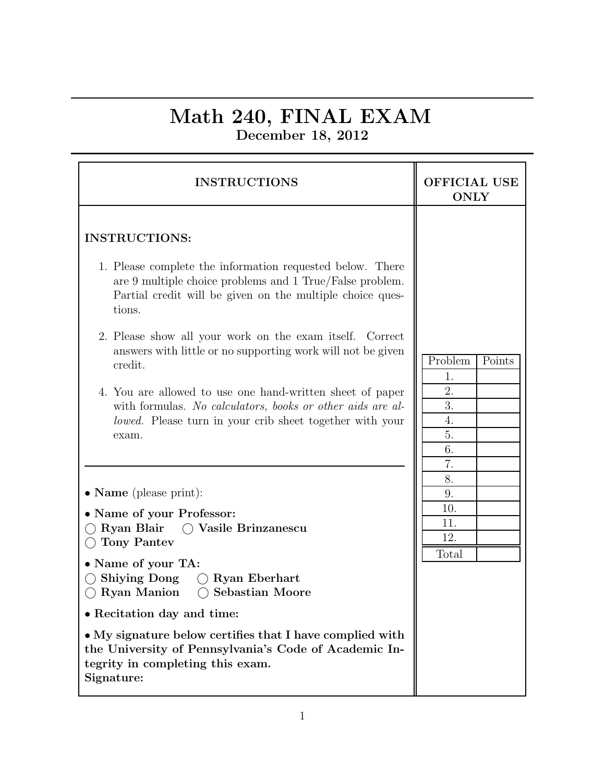## Math 240, FINAL EXAM December 18, 2012

| <b>INSTRUCTIONS</b>                                                                                                                                                                                                                                                                                                                                                                                                                                                                                                                                               | <b>OFFICIAL USE</b><br><b>ONLY</b>                                                                    |
|-------------------------------------------------------------------------------------------------------------------------------------------------------------------------------------------------------------------------------------------------------------------------------------------------------------------------------------------------------------------------------------------------------------------------------------------------------------------------------------------------------------------------------------------------------------------|-------------------------------------------------------------------------------------------------------|
| <b>INSTRUCTIONS:</b><br>1. Please complete the information requested below. There<br>are 9 multiple choice problems and 1 True/False problem.<br>Partial credit will be given on the multiple choice ques-<br>tions.<br>2. Please show all your work on the exam itself. Correct<br>answers with little or no supporting work will not be given<br>credit.<br>4. You are allowed to use one hand-written sheet of paper<br>with formulas. No calculators, books or other aids are al-<br><i>lowed.</i> Please turn in your crib sheet together with your<br>exam. | Problem<br>Points<br>1.<br>2.<br>3.<br>4.<br>5.<br>6.<br>7.<br>8.<br>9.<br>10.<br>11.<br>12.<br>Total |
| $\bullet$ <b>Name</b> (please print):<br>• Name of your Professor:<br>Ryan Blair<br>$\bigcap$ Vasile Brinzanescu<br><b>Tony Pantev</b><br>• Name of your TA:<br><b>Shiying Dong</b><br><b>Ryan Eberhart</b><br><b>Ryan Manion</b><br><b>Sebastian Moore</b><br>$($ )<br>• Recitation day and time:<br>• My signature below certifies that I have complied with<br>the University of Pennsylvania's Code of Academic In-<br>tegrity in completing this exam.<br>Signature:                                                                                         |                                                                                                       |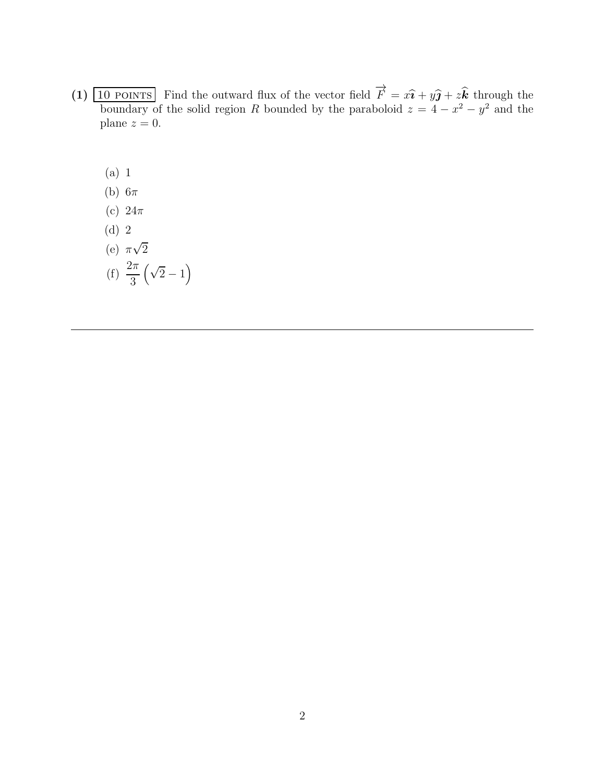- (1)  $\boxed{10 \text{ POINTS}}$  Find the outward flux of the vector field  $\vec{F} = x\hat{i} + y\hat{j} + z\hat{k}$  through the boundary of the solid region R bounded by the paraboloid  $z = 4 - x^2 - y^2$  and the plane  $z = 0$ .
	- (a) 1
	- (b) 6π
	- (c)  $24\pi$
	- (d) 2
	- (e)  $\pi\sqrt{2}$ (f)  $\frac{2\pi}{2}$ 3  $(\sqrt{2}-1)$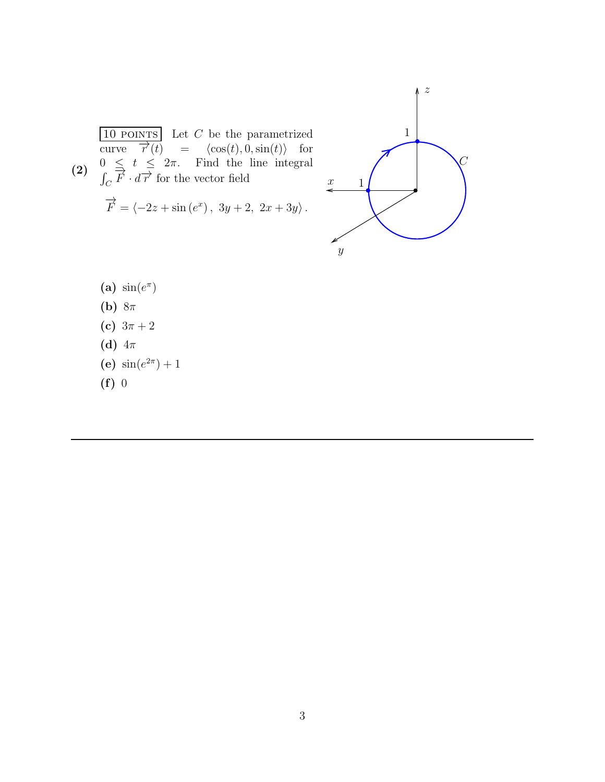

 $\overline{C}$ 

(a) 
$$
\sin(e^{\pi})
$$
  
\n(b)  $8\pi$   
\n(c)  $3\pi + 2$   
\n(d)  $4\pi$   
\n(e)  $\sin(e^{2\pi}) + 1$   
\n(f) 0

3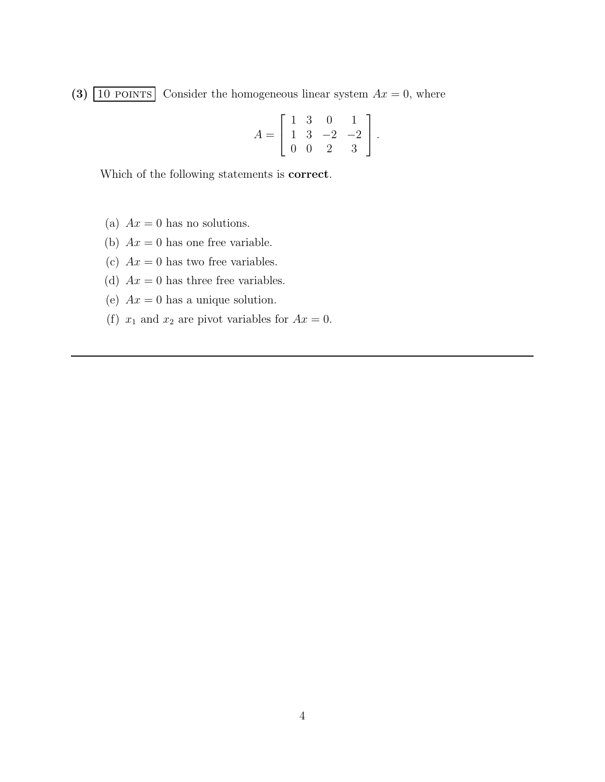(3)  $\boxed{10 \text{ POINTS}}$  Consider the homogeneous linear system  $Ax = 0$ , where

$$
A = \left[ \begin{array}{rrrr} 1 & 3 & 0 & 1 \\ 1 & 3 & -2 & -2 \\ 0 & 0 & 2 & 3 \end{array} \right].
$$

Which of the following statements is correct.

- (a)  $Ax = 0$  has no solutions.
- (b)  $Ax = 0$  has one free variable.
- (c)  $Ax = 0$  has two free variables.
- (d)  $Ax = 0$  has three free variables.
- (e)  $Ax = 0$  has a unique solution.
- (f)  $x_1$  and  $x_2$  are pivot variables for  $Ax = 0$ .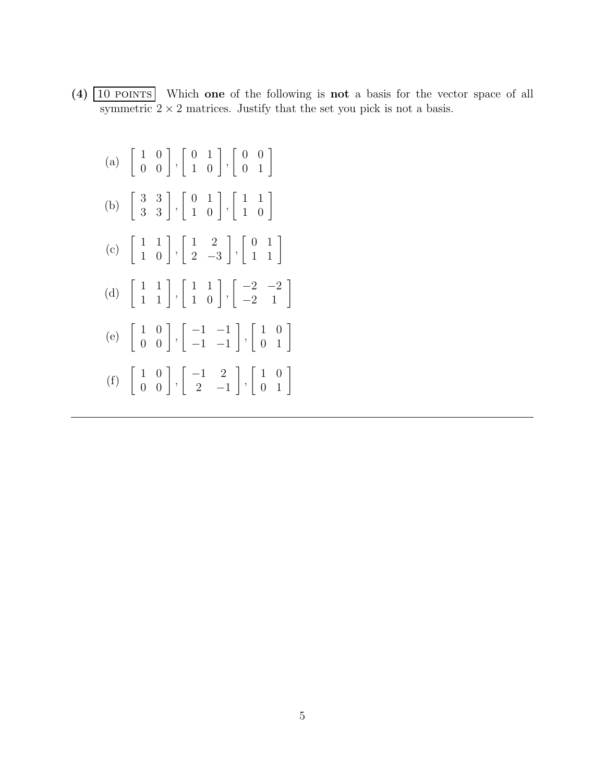- $(4)$   $\boxed{10 \text{ POINTS}}$  Which one of the following is not a basis for the vector space of all symmetric  $2 \times 2$  matrices. Justify that the set you pick is not a basis.
	- (a)  $\begin{bmatrix} 1 & 0 \\ 0 & 0 \end{bmatrix}$ ,  $\left[\begin{array}{cc} 0 & 1 \\ 1 & 0 \end{array}\right],$  $\left[\begin{array}{cc} 0 & 0 \\ 0 & 1 \end{array}\right]$ (b)  $\begin{bmatrix} 3 & 3 \\ 3 & 3 \end{bmatrix}$ ,  $\left[\begin{array}{cc} 0 & 1 \\ 1 & 0 \end{array}\right],$  $\left[\begin{array}{cc} 1 & 1 \\ 1 & 0 \end{array}\right]$ (c)  $\begin{bmatrix} 1 & 1 \\ 1 & 0 \end{bmatrix}$ ,  $\begin{bmatrix} 1 & 2 \end{bmatrix}$  $2 -3$ 1 ,  $\left[\begin{array}{cc} 0 & 1 \\ 1 & 1 \end{array}\right]$ (d)  $\begin{bmatrix} 1 & 1 \\ 1 & 1 \end{bmatrix}$ ,  $\left[\begin{array}{cc} 1 & 1 \\ 1 & 0 \end{array}\right],$  $\left[\begin{array}{rr} -2 & -2 \\ -2 & 1 \end{array}\right]$ (e)  $\begin{bmatrix} 1 & 0 \\ 0 & 0 \end{bmatrix}$ ,  $\begin{bmatrix} -1 & -1 \end{bmatrix}$  $-1$   $-1$ l. ,  $\left[\begin{array}{cc} 1 & 0 \\ 0 & 1 \end{array}\right]$ (f)  $\left[\begin{array}{cc} 1 & 0 \\ 0 & 0 \end{array}\right]$ ,  $\begin{bmatrix} -1 & 2 \end{bmatrix}$  $2 -1$ l. ,  $\left[\begin{array}{cc} 1 & 0 \\ 0 & 1 \end{array}\right]$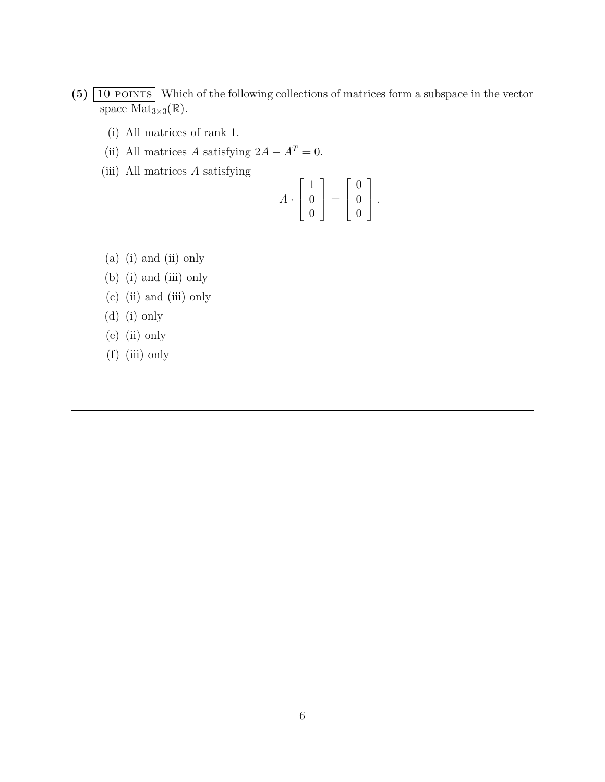- $(5)$   $\overline{10}$  POINTS Which of the following collections of matrices form a subspace in the vector space  $\text{Mat}_{3\times 3}(\mathbb{R})$ .
	- (i) All matrices of rank 1.
	- (ii) All matrices A satisfying  $2A A^T = 0$ .
	- (iii) All matrices A satisfying

$$
A \cdot \left[ \begin{array}{c} 1 \\ 0 \\ 0 \end{array} \right] = \left[ \begin{array}{c} 0 \\ 0 \\ 0 \end{array} \right].
$$

- (a) (i) and (ii) only
- (b) (i) and (iii) only
- (c) (ii) and (iii) only
- (d) (i) only
- (e) (ii) only
- (f) (iii) only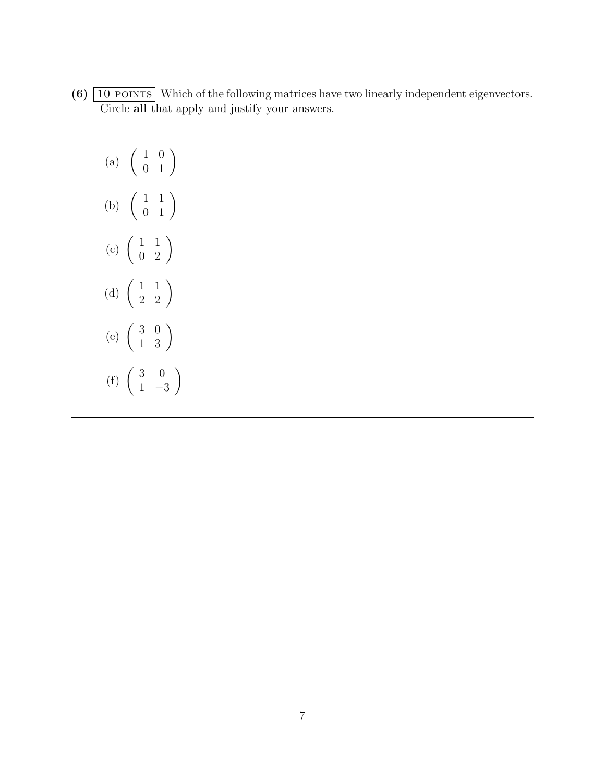$(6)$   $\boxed{10$  POINTS Which of the following matrices have two linearly independent eigenvectors. Circle all that apply and justify your answers.

(a) 
$$
\begin{pmatrix} 1 & 0 \\ 0 & 1 \end{pmatrix}
$$
  
\n(b)  $\begin{pmatrix} 1 & 1 \\ 0 & 1 \end{pmatrix}$   
\n(c)  $\begin{pmatrix} 1 & 1 \\ 0 & 2 \end{pmatrix}$   
\n(d)  $\begin{pmatrix} 1 & 1 \\ 2 & 2 \end{pmatrix}$   
\n(e)  $\begin{pmatrix} 3 & 0 \\ 1 & 3 \end{pmatrix}$   
\n(f)  $\begin{pmatrix} 3 & 0 \\ 1 & -3 \end{pmatrix}$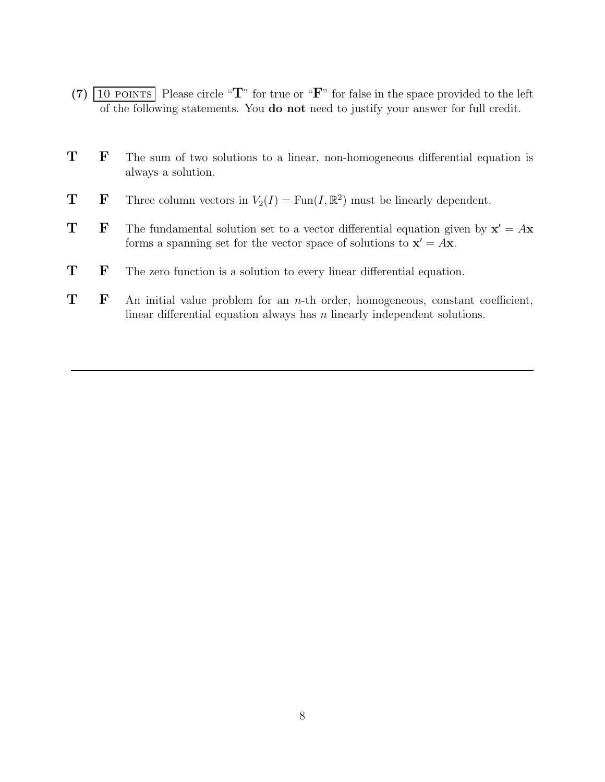- (7)  $\boxed{10 \text{ PONTS}}$  Please circle "T" for true or "F" for false in the space provided to the left of the following statements. You do not need to justify your answer for full credit.
- T F The sum of two solutions to a linear, non-homogeneous differential equation is always a solution.
- **T** F Three column vectors in  $V_2(I) = \text{Fun}(I, \mathbb{R}^2)$  must be linearly dependent.
- **T** F The fundamental solution set to a vector differential equation given by  $x' = Ax$ forms a spanning set for the vector space of solutions to  $\mathbf{x}' = A\mathbf{x}$ .
- **T** F The zero function is a solution to every linear differential equation.
- $T$  F An initial value problem for an *n*-th order, homogeneous, constant coefficient, linear differential equation always has  $n$  linearly independent solutions.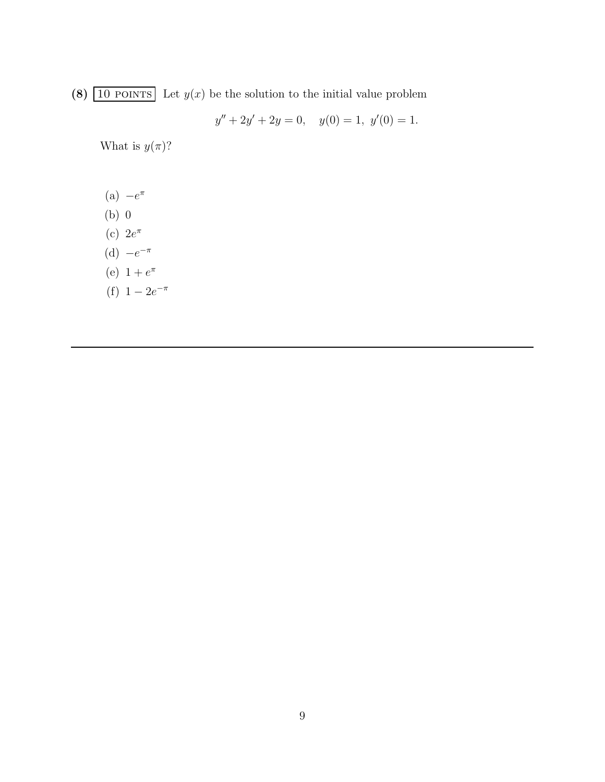(8)  $\boxed{10 \text{ POINTS}}$  Let  $y(x)$  be the solution to the initial value problem

$$
y'' + 2y' + 2y = 0, \quad y(0) = 1, \ y'(0) = 1.
$$

What is  $y(\pi)$ ?

- $(a) -e^{\pi}$
- (b) 0
- (c)  $2e^{\pi}$
- (d)  $-e^{-\pi}$
- (e)  $1 + e^{\pi}$
- (f)  $1 2e^{-\pi}$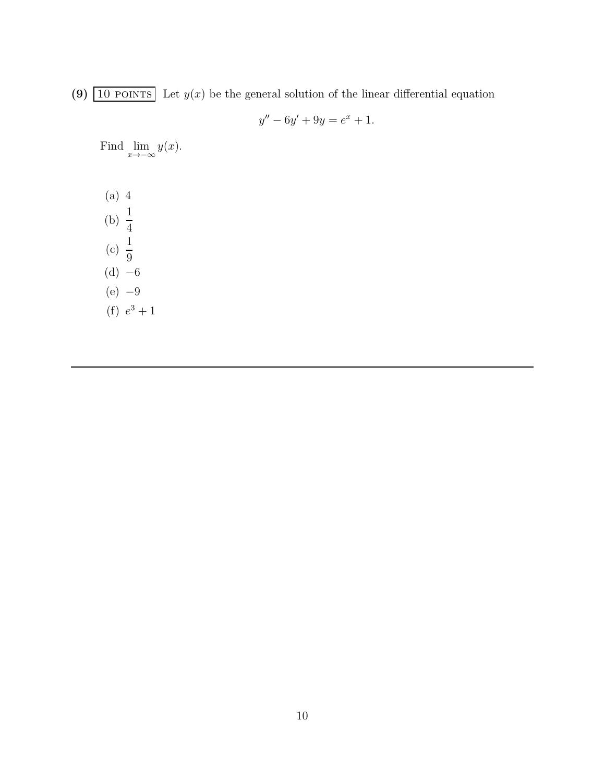(9)  $\boxed{10 \text{ POINTS}}$  Let  $y(x)$  be the general solution of the linear differential equation

$$
y'' - 6y' + 9y = e^x + 1.
$$

Find  $\lim_{x\to -\infty} y(x)$ .

(a) 4 (b)  $\frac{1}{4}$ 4 (c)  $\frac{1}{2}$ 9  $(d) -6$  $(e) -9$ (f)  $e^3 + 1$